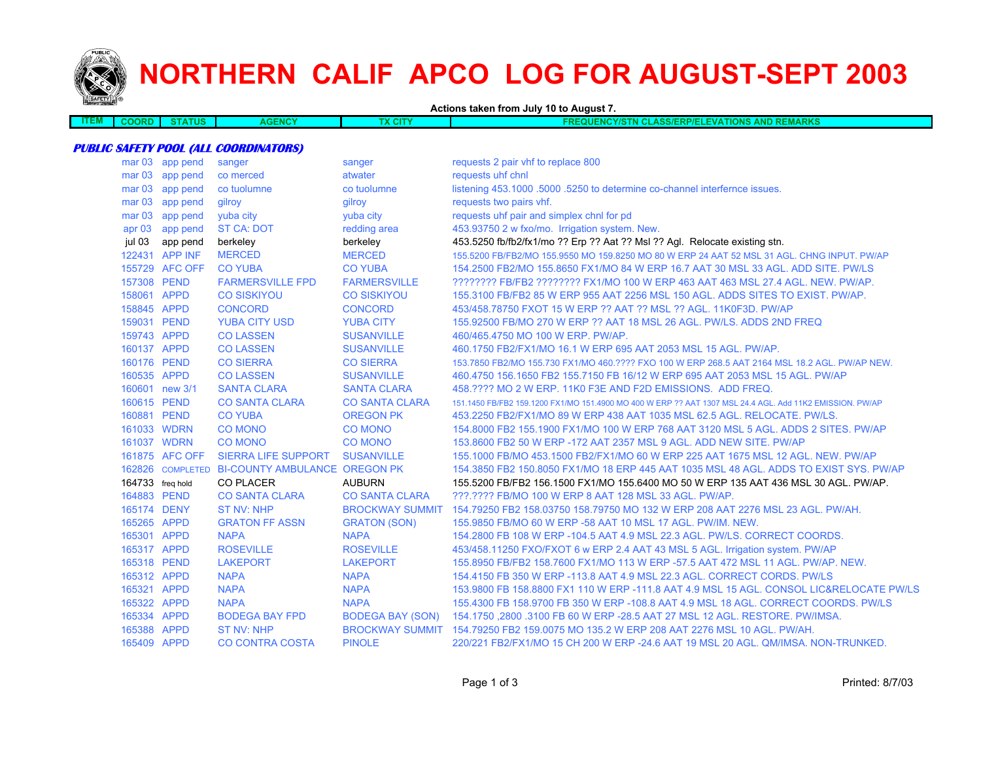

# **NORTHERN CALIF APCO LOG FOR AUGUST-SEPT 2003**

**Actions taken from July 10 to August 7.**

| -----<br><b>ITEM</b> | ORD<br>$\cdots$ | $-10-$ | ENCY | <b>X CITY</b> | <b>AND REMARKS</b><br>TIONS.<br>$\triangle$ OUENCY/S<br>EVA.<br><b>CLASS/ERP/EL</b><br>FRF<br>'N CH |
|----------------------|-----------------|--------|------|---------------|-----------------------------------------------------------------------------------------------------|

#### **PUBLIC SAFETY POOL (ALL COORDINATORS)**

|                   | mar 03 app pend  | sanger                                         | sanger                  | requests 2 pair vhf to replace 800                                                                       |
|-------------------|------------------|------------------------------------------------|-------------------------|----------------------------------------------------------------------------------------------------------|
|                   | mar 03 app pend  | co merced                                      | atwater                 | requests uhf chnl                                                                                        |
| mar <sub>03</sub> | app pend         | co tuolumne                                    | co tuolumne             | listening 453.1000 .5000 .5250 to determine co-channel interfernce issues.                               |
| mar <sub>03</sub> | app pend         | gilroy                                         | gilroy                  | requests two pairs vhf.                                                                                  |
| mar <sub>03</sub> | app pend         | yuba city                                      | yuba city               | requests uhf pair and simplex chnl for pd                                                                |
|                   | apr 03 app pend  | <b>ST CA: DOT</b>                              | redding area            | 453.93750 2 w fxo/mo. Irrigation system. New.                                                            |
| jul 03            | app pend         | berkeley                                       | berkeley                | 453.5250 fb/fb2/fx1/mo ?? Erp ?? Aat ?? Msl ?? Agl. Relocate existing stn.                               |
|                   | 122431 APP INF   | <b>MERCED</b>                                  | <b>MERCED</b>           | 155,5200 FB/FB2/MO 155,9550 MO 159,8250 MO 80 W ERP 24 AAT 52 MSL 31 AGL, CHNG INPUT, PW/AP              |
|                   | 155729 AFC OFF   | <b>CO YUBA</b>                                 | <b>CO YUBA</b>          | 154.2500 FB2/MO 155.8650 FX1/MO 84 W ERP 16.7 AAT 30 MSL 33 AGL, ADD SITE, PW/LS                         |
|                   | 157308 PEND      | <b>FARMERSVILLE FPD</b>                        | <b>FARMERSVILLE</b>     | ???????? FB/FB2 ??????? FX1/MO 100 W ERP 463 AAT 463 MSL 27.4 AGL. NEW. PW/AP.                           |
|                   | 158061 APPD      | <b>CO SISKIYOU</b>                             | <b>CO SISKIYOU</b>      | 155.3100 FB/FB2 85 W ERP 955 AAT 2256 MSL 150 AGL. ADDS SITES TO EXIST. PW/AP.                           |
|                   | 158845 APPD      | <b>CONCORD</b>                                 | <b>CONCORD</b>          | 453/458.78750 FXOT 15 W ERP ?? AAT ?? MSL ?? AGL. 11K0F3D. PW/AP                                         |
|                   | 159031 PEND      | <b>YUBA CITY USD</b>                           | <b>YUBA CITY</b>        | 155,92500 FB/MO 270 W ERP ?? AAT 18 MSL 26 AGL, PW/LS, ADDS 2ND FREQ                                     |
|                   | 159743 APPD      | <b>CO LASSEN</b>                               | <b>SUSANVILLE</b>       | 460/465.4750 MO 100 W ERP. PW/AP.                                                                        |
|                   | 160137 APPD      | <b>CO LASSEN</b>                               | <b>SUSANVILLE</b>       | 460.1750 FB2/FX1/MO 16.1 W ERP 695 AAT 2053 MSL 15 AGL, PW/AP.                                           |
|                   | 160176 PEND      | <b>CO SIERRA</b>                               | <b>CO SIERRA</b>        | 153.7850 FB2/MO 155.730 FX1/MO 460.???? FXO 100 W ERP 268.5 AAT 2164 MSL 18.2 AGL. PW/AP NEW.            |
|                   | 160535 APPD      | <b>CO LASSEN</b>                               | <b>SUSANVILLE</b>       | 460.4750 156.1650 FB2 155.7150 FB 16/12 W ERP 695 AAT 2053 MSL 15 AGL. PW/AP                             |
|                   | 160601 new 3/1   | <b>SANTA CLARA</b>                             | <b>SANTA CLARA</b>      | 458.???? MO 2 W ERP. 11K0 F3E AND F2D EMISSIONS. ADD FREQ.                                               |
|                   | 160615 PEND      | <b>CO SANTA CLARA</b>                          | <b>CO SANTA CLARA</b>   | 151.1450 FB/FB2 159.1200 FX1/MO 151.4900 MO 400 W ERP ?? AAT 1307 MSL 24.4 AGL. Add 11K2 EMISSION. PW/AP |
|                   | 160881 PEND      | <b>CO YUBA</b>                                 | <b>OREGON PK</b>        | 453.2250 FB2/FX1/MO 89 W ERP 438 AAT 1035 MSL 62.5 AGL, RELOCATE, PW/LS.                                 |
|                   | 161033 WDRN      | <b>CO MONO</b>                                 | <b>CO MONO</b>          | 154,8000 FB2 155,1900 FX1/MO 100 W ERP 768 AAT 3120 MSL 5 AGL, ADDS 2 SITES, PW/AP                       |
|                   | 161037 WDRN      | <b>CO MONO</b>                                 | <b>CO MONO</b>          | 153,8600 FB2 50 W ERP -172 AAT 2357 MSL 9 AGL, ADD NEW SITE, PW/AP                                       |
|                   | 161875 AFC OFF   | <b>SIERRA LIFE SUPPORT</b>                     | <b>SUSANVILLE</b>       | 155,1000 FB/MO 453,1500 FB2/FX1/MO 60 W ERP 225 AAT 1675 MSL 12 AGL, NEW, PW/AP                          |
|                   |                  | 162826 COMPLETED BI-COUNTY AMBULANCE OREGON PK |                         | 154,3850 FB2 150,8050 FX1/MO 18 ERP 445 AAT 1035 MSL 48 AGL. ADDS TO EXIST SYS, PW/AP                    |
|                   | 164733 freq hold | <b>CO PLACER</b>                               | <b>AUBURN</b>           | 155,5200 FB/FB2 156,1500 FX1/MO 155,6400 MO 50 W ERP 135 AAT 436 MSL 30 AGL. PW/AP.                      |
|                   | 164883 PEND      | <b>CO SANTA CLARA</b>                          | <b>CO SANTA CLARA</b>   | ???.???? FB/MO 100 W ERP 8 AAT 128 MSL 33 AGL. PW/AP.                                                    |
|                   | 165174 DENY      | <b>ST NV: NHP</b>                              | <b>BROCKWAY SUMMIT</b>  | 154.79250 FB2 158.03750 158.79750 MO 132 W ERP 208 AAT 2276 MSL 23 AGL. PW/AH.                           |
|                   | 165265 APPD      | <b>GRATON FF ASSN</b>                          | <b>GRATON (SON)</b>     | 155.9850 FB/MO 60 W ERP -58 AAT 10 MSL 17 AGL. PW/IM. NEW.                                               |
|                   | 165301 APPD      | <b>NAPA</b>                                    | <b>NAPA</b>             | 154.2800 FB 108 W ERP -104.5 AAT 4.9 MSL 22.3 AGL. PW/LS. CORRECT COORDS.                                |
|                   | 165317 APPD      | <b>ROSEVILLE</b>                               | <b>ROSEVILLE</b>        | 453/458.11250 FXO/FXOT 6 w ERP 2.4 AAT 43 MSL 5 AGL. Irrigation system. PW/AP                            |
|                   | 165318 PEND      | <b>LAKEPORT</b>                                | <b>LAKEPORT</b>         | 155,8950 FB/FB2 158,7600 FX1/MO 113 W ERP -57.5 AAT 472 MSL 11 AGL, PW/AP, NEW.                          |
|                   | 165312 APPD      | <b>NAPA</b>                                    | <b>NAPA</b>             | 154,4150 FB 350 W ERP -113.8 AAT 4.9 MSL 22.3 AGL, CORRECT CORDS, PW/LS                                  |
|                   | 165321 APPD      | <b>NAPA</b>                                    | <b>NAPA</b>             | 153.9800 FB 158.8800 FX1 110 W ERP -111.8 AAT 4.9 MSL 15 AGL. CONSOL LIC&RELOCATE PW/LS                  |
|                   | 165322 APPD      | <b>NAPA</b>                                    | <b>NAPA</b>             | 155.4300 FB 158.9700 FB 350 W ERP -108.8 AAT 4.9 MSL 18 AGL. CORRECT COORDS. PW/LS                       |
|                   | 165334 APPD      | <b>BODEGA BAY FPD</b>                          | <b>BODEGA BAY (SON)</b> | 154.1750, 2800, 3100 FB 60 W ERP - 28.5 AAT 27 MSL 12 AGL. RESTORE. PW/IMSA.                             |
|                   | 165388 APPD      | <b>ST NV: NHP</b>                              |                         | BROCKWAY SUMMIT 154.79250 FB2 159.0075 MO 135.2 W ERP 208 AAT 2276 MSL 10 AGL. PW/AH.                    |
| 165409 APPD       |                  | <b>CO CONTRA COSTA</b>                         | <b>PINOLE</b>           | 220/221 FB2/FX1/MO 15 CH 200 W ERP -24.6 AAT 19 MSL 20 AGL, QM/IMSA, NON-TRUNKED.                        |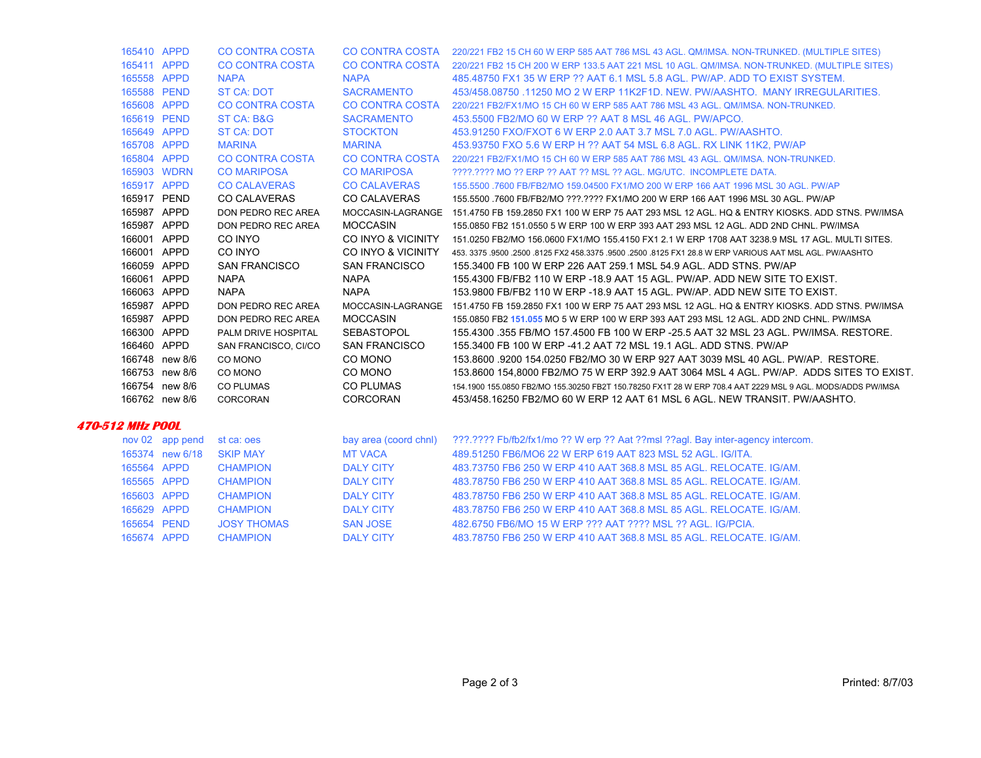|                         | 165410 APPD     | <b>CO CONTRA COSTA</b> |                        | CO CONTRA COSTA 220/221 FB2 15 CH 60 W ERP 585 AAT 786 MSL 43 AGL. QM/IMSA. NON-TRUNKED. (MULTIPLE SITES)          |
|-------------------------|-----------------|------------------------|------------------------|--------------------------------------------------------------------------------------------------------------------|
|                         | 165411 APPD     | CO CONTRA COSTA        |                        | CO CONTRA COSTA 220/221 FB2 15 CH 200 W ERP 133.5 AAT 221 MSL 10 AGL. QM/IMSA. NON-TRUNKED. (MULTIPLE SITES)       |
|                         | 165558 APPD     | <b>NAPA</b>            | <b>NAPA</b>            | 485.48750 FX1 35 W ERP ?? AAT 6.1 MSL 5.8 AGL, PW/AP, ADD TO EXIST SYSTEM.                                         |
|                         | 165588 PEND     | <b>ST CA: DOT</b>      | <b>SACRAMENTO</b>      | 453/458,08750,11250 MO 2 W ERP 11K2F1D, NEW, PW/AASHTO, MANY IRREGULARITIES.                                       |
|                         | 165608 APPD     | <b>CO CONTRA COSTA</b> | <b>CO CONTRA COSTA</b> | 220/221 FB2/FX1/MO 15 CH 60 W ERP 585 AAT 786 MSL 43 AGL, QM/IMSA, NON-TRUNKED.                                    |
|                         | 165619 PEND     | ST CA: B&G             | <b>SACRAMENTO</b>      | 453.5500 FB2/MO 60 W ERP ?? AAT 8 MSL 46 AGL. PW/APCO.                                                             |
|                         | 165649 APPD     | <b>ST CA: DOT</b>      | <b>STOCKTON</b>        | 453.91250 FXO/FXOT 6 W ERP 2.0 AAT 3.7 MSL 7.0 AGL, PW/AASHTO.                                                     |
|                         | 165708 APPD     | <b>MARINA</b>          | <b>MARINA</b>          | 453.93750 FXO 5.6 W ERP H ?? AAT 54 MSL 6.8 AGL. RX LINK 11K2, PW/AP                                               |
|                         | 165804 APPD     | CO CONTRA COSTA        |                        | CO CONTRA COSTA 220/221 FB2/FX1/MO 15 CH 60 W ERP 585 AAT 786 MSL 43 AGL. QM/IMSA. NON-TRUNKED.                    |
|                         | 165903 WDRN     | <b>CO MARIPOSA</b>     | <b>CO MARIPOSA</b>     | ????.???? MO ?? ERP ?? AAT ?? MSL ?? AGL. MG/UTC. INCOMPLETE DATA.                                                 |
|                         | 165917 APPD     | <b>CO CALAVERAS</b>    | <b>CO CALAVERAS</b>    | 155,5500,7600 FB/FB2/MO 159,04500 FX1/MO 200 W ERP 166 AAT 1996 MSL 30 AGL, PW/AP                                  |
|                         | 165917 PEND     | <b>CO CALAVERAS</b>    | <b>CO CALAVERAS</b>    | 155,5500 .7600 FB/FB2/MO ???.???? FX1/MO 200 W ERP 166 AAT 1996 MSL 30 AGL. PW/AP                                  |
|                         | 165987 APPD     | DON PEDRO REC AREA     |                        | MOCCASIN-LAGRANGE 151.4750 FB 159.2850 FX1 100 W ERP 75 AAT 293 MSL 12 AGL. HQ & ENTRY KIOSKS. ADD STNS. PW/IMSA   |
|                         | 165987 APPD     | DON PEDRO REC AREA     | <b>MOCCASIN</b>        | 155.0850 FB2 151.0550 5 W ERP 100 W ERP 393 AAT 293 MSL 12 AGL. ADD 2ND CHNL. PW/IMSA                              |
|                         | 166001 APPD     | CO INYO                |                        | CO INYO & VICINITY 151.0250 FB2/MO 156.0600 FX1/MO 155.4150 FX1 2.1 W ERP 1708 AAT 3238.9 MSL 17 AGL. MULTI SITES. |
|                         | 166001 APPD     | CO INYO                | CO INYO & VICINITY     | 453, 3375, 9500, 2500, 8125 FX2 458, 3375, 9500, 2500, 8125 FX1 28.8 W ERP VARIOUS AAT MSL AGL, PW/AASHTO          |
|                         | 166059 APPD     | <b>SAN FRANCISCO</b>   | <b>SAN FRANCISCO</b>   | 155.3400 FB 100 W ERP 226 AAT 259.1 MSL 54.9 AGL. ADD STNS. PW/AP                                                  |
|                         | 166061 APPD     | <b>NAPA</b>            | <b>NAPA</b>            | 155.4300 FB/FB2 110 W ERP -18.9 AAT 15 AGL. PW/AP. ADD NEW SITE TO EXIST.                                          |
|                         | 166063 APPD     | <b>NAPA</b>            | <b>NAPA</b>            | 153.9800 FB/FB2 110 W ERP -18.9 AAT 15 AGL. PW/AP. ADD NEW SITE TO EXIST.                                          |
|                         | 165987 APPD     | DON PEDRO REC AREA     |                        | MOCCASIN-LAGRANGE 151.4750 FB 159.2850 FX1 100 W ERP 75 AAT 293 MSL 12 AGL. HQ & ENTRY KIOSKS, ADD STNS, PW/IMSA   |
|                         | 165987 APPD     | DON PEDRO REC AREA     | <b>MOCCASIN</b>        | 155.0850 FB2 151.055 MO 5 W ERP 100 W ERP 393 AAT 293 MSL 12 AGL. ADD 2ND CHNL. PW/IMSA                            |
|                         | 166300 APPD     | PALM DRIVE HOSPITAL    | SEBASTOPOL             | 155.4300 .355 FB/MO 157.4500 FB 100 W ERP -25.5 AAT 32 MSL 23 AGL. PW/IMSA, RESTORE.                               |
|                         | 166460 APPD     | SAN FRANCISCO, CI/CO   | <b>SAN FRANCISCO</b>   | 155.3400 FB 100 W ERP -41.2 AAT 72 MSL 19.1 AGL. ADD STNS. PW/AP                                                   |
|                         | 166748 new 8/6  | CO MONO                | CO MONO                | 153.8600 9200 154.0250 FB2/MO 30 W ERP 927 AAT 3039 MSL 40 AGL. PW/AP. RESTORE.                                    |
|                         | 166753 new 8/6  | CO MONO                | CO MONO                | 153,8600 154,8000 FB2/MO 75 W ERP 392.9 AAT 3064 MSL 4 AGL, PW/AP, ADDS SITES TO EXIST.                            |
|                         | 166754 new 8/6  | <b>CO PLUMAS</b>       | CO PLUMAS              | 154.1900 155.0850 FB2/MO 155.30250 FB2T 150.78250 FX1T 28 W ERP 708.4 AAT 2229 MSL 9 AGL. MODS/ADDS PW/IMSA        |
|                         | 166762 new 8/6  | CORCORAN               | <b>CORCORAN</b>        | 453/458.16250 FB2/MO 60 W ERP 12 AAT 61 MSL 6 AGL. NEW TRANSIT. PW/AASHTO.                                         |
| <b>470-512 MHz POOL</b> |                 |                        |                        |                                                                                                                    |
|                         | nov 02 app pend | st ca: oes             |                        | bay area (coord chnl) ???.???? Fb/fb2/fx1/mo ?? W erp ?? Aat ??msl ??agl. Bay inter-agency intercom.               |
|                         | 165374 new 6/18 | <b>SKIP MAY</b>        | <b>MT VACA</b>         | 489.51250 FB6/MO6 22 W ERP 619 AAT 823 MSL 52 AGL. IG/ITA.                                                         |
|                         | 165564 APPD     | <b>CHAMPION</b>        | <b>DALY CITY</b>       | 483.73750 FB6 250 W ERP 410 AAT 368.8 MSL 85 AGL, RELOCATE, IG/AM.                                                 |
|                         | 165565 APPD     | <b>CHAMPION</b>        | <b>DALY CITY</b>       | 483.78750 FB6 250 W ERP 410 AAT 368.8 MSL 85 AGL, RELOCATE, IG/AM.                                                 |
|                         | 165603 APPD     | <b>CHAMPION</b>        | <b>DALY CITY</b>       | 483.78750 FB6 250 W ERP 410 AAT 368.8 MSL 85 AGL. RELOCATE. IG/AM.                                                 |
|                         | 165629 APPD     | <b>CHAMPION</b>        | <b>DALY CITY</b>       | 483.78750 FB6 250 W ERP 410 AAT 368.8 MSL 85 AGL, RELOCATE, IG/AM.                                                 |
|                         | 165654 PEND     | <b>JOSY THOMAS</b>     | <b>SAN JOSE</b>        | 482.6750 FB6/MO 15 W ERP ??? AAT ???? MSL ?? AGL. IG/PCIA.                                                         |

165674 APPD CHAMPION DALY CITY 483.78750 FB6 250 W ERP 410 AAT 368.8 MSL 85 AGL. RELOCATE. IG/AM.